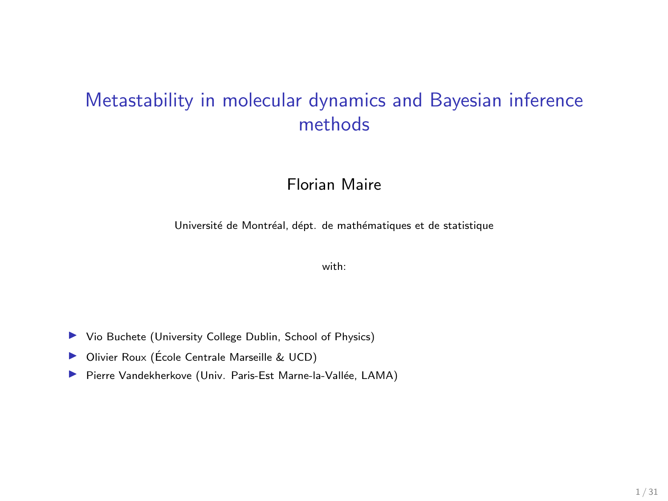# Metastability in molecular dynamics and Bayesian inference methods

#### Florian Maire

Université de Montréal, dépt. de mathématiques et de statistique

with:

- ▶ Vio Buchete (University College Dublin, School of Physics)
- ▶ Olivier Roux (École Centrale Marseille & UCD)
- Pierre Vandekherkove (Univ. Paris-Est Marne-la-Vallée, LAMA)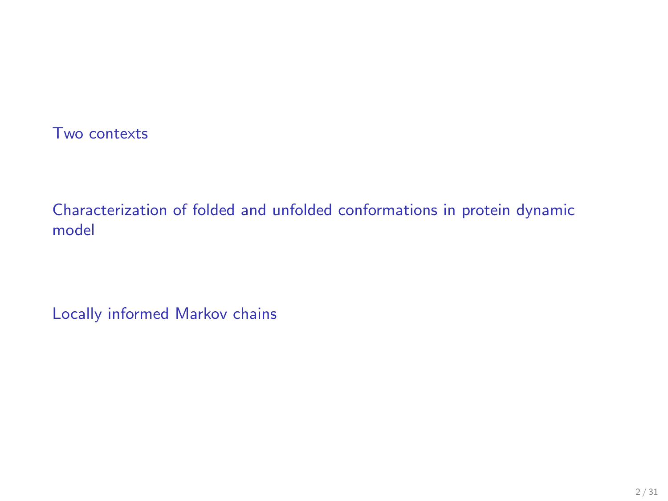[Two contexts](#page-2-0)

[Characterization of folded and unfolded conformations in protein dynamic](#page-6-0) [model](#page-6-0)

[Locally informed Markov chains](#page-17-0)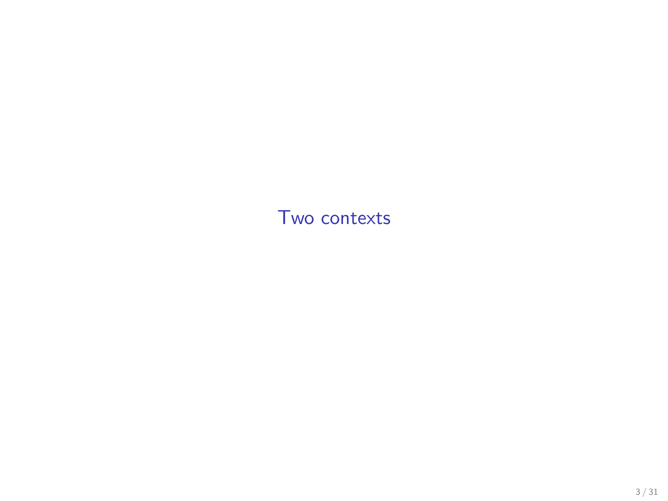<span id="page-2-0"></span>[Two contexts](#page-2-0)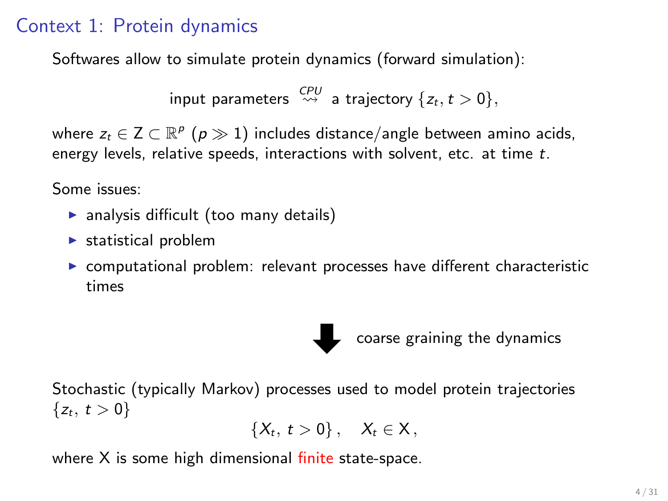## Context 1: Protein dynamics

Softwares allow to simulate protein dynamics (forward simulation):

input parameters 
$$
\stackrel{CPU}{\leadsto}
$$
 a trajectory  $\{z_t, t > 0\}$ ,

where  $z_t \in \mathsf{Z} \subset \mathbb{R}^p$   $(\rho \gg 1)$  includes distance/angle between amino acids, energy levels, relative speeds, interactions with solvent, etc. at time t.

Some issues:

- $\blacktriangleright$  analysis difficult (too many details)
- $\blacktriangleright$  statistical problem
- $\triangleright$  computational problem: relevant processes have different characteristic times



Stochastic (typically Markov) processes used to model protein trajectories  $\{z_t, t > 0\}$ 

$$
\{X_t, t>0\}, \quad X_t \in \mathsf{X},
$$

where  $X$  is some high dimensional finite state-space.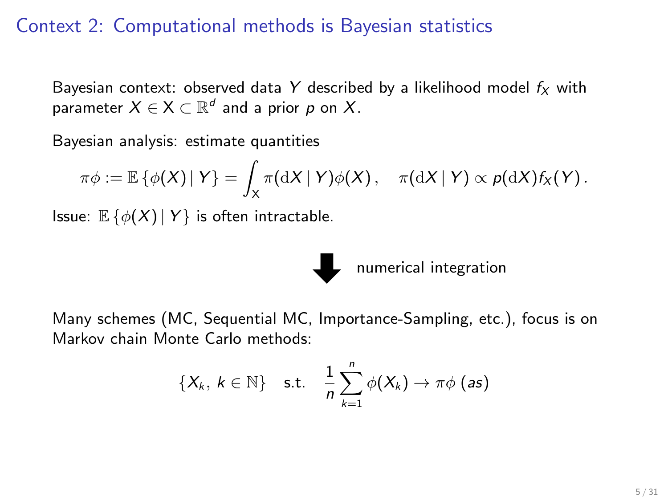## Context 2: Computational methods is Bayesian statistics

Bayesian context: observed data Y described by a likelihood model  $f_X$  with parameter  $X \in \mathsf{X} \subset \mathbb{R}^d$  and a prior  $p$  on  $X.$ 

Bayesian analysis: estimate quantities

$$
\pi\phi:=\mathbb{E}\left\{\phi(X)\,|\,Y\right\}=\int_X\pi(\mathrm{d}X\,|\,Y)\phi(X)\,,\quad \pi(\mathrm{d}X\,|\,Y)\propto p(\mathrm{d}X)f_X(Y)\,.
$$

Issue:  $\mathbb{E}\left\{\phi(X) | Y\right\}$  is often intractable.



Many schemes (MC, Sequential MC, Importance-Sampling, etc.), focus is on Markov chain Monte Carlo methods:

$$
\{X_k, k \in \mathbb{N}\} \quad \text{s.t.} \quad \frac{1}{n} \sum_{k=1}^n \phi(X_k) \to \pi \phi \text{ (as)}
$$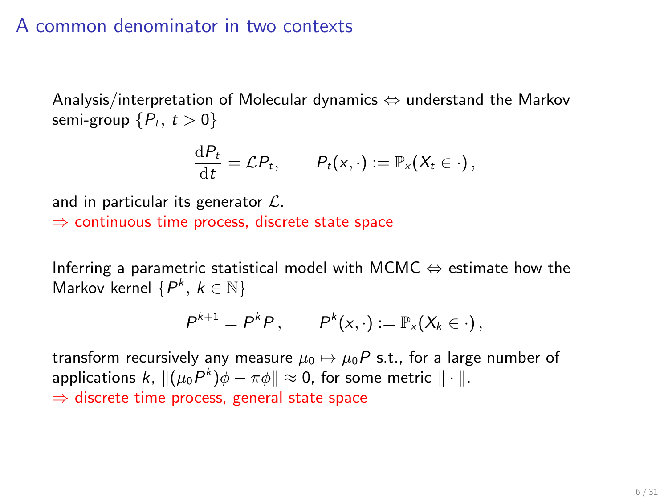### A common denominator in two contexts

Analysis/interpretation of Molecular dynamics  $\Leftrightarrow$  understand the Markov semi-group  $\{P_t, t > 0\}$ 

$$
\frac{\mathrm{d}P_t}{\mathrm{d}t} = \mathcal{L}P_t, \qquad P_t(x, \cdot) := \mathbb{P}_x(X_t \in \cdot),
$$

and in particular its generator  $\mathcal{L}$ . ⇒ continuous time process, discrete state space

Inferring a parametric statistical model with MCMC  $\Leftrightarrow$  estimate how the Markov kernel  $\{P^k, k \in \mathbb{N}\}$ 

$$
P^{k+1} = P^k P, \qquad P^k(x, \cdot) := \mathbb{P}_x(X_k \in \cdot),
$$

transform recursively any measure  $\mu_0 \mapsto \mu_0 P$  s.t., for a large number of applications  $k$ ,  $\|(\mu_0 P^k)\phi - \pi\phi \| \approx 0$ , for some metric  $\|\cdot\|.$  $\Rightarrow$  discrete time process, general state space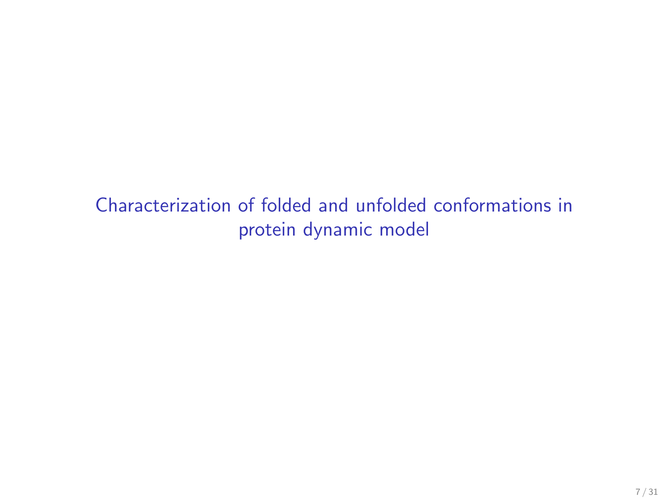<span id="page-6-0"></span>[Characterization of folded and unfolded conformations in](#page-6-0) [protein dynamic model](#page-6-0)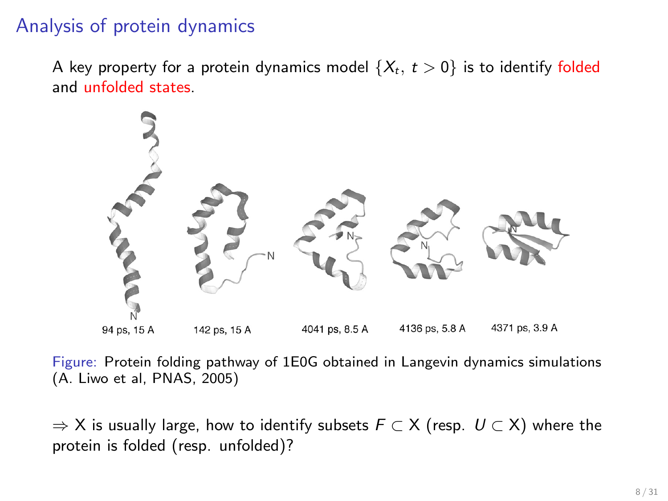## Analysis of protein dynamics

A key property for a protein dynamics model  $\{X_t, t > 0\}$  is to identify folded and unfolded states.



Figure: Protein folding pathway of 1E0G obtained in Langevin dynamics simulations (A. Liwo et al, PNAS, 2005)

 $\Rightarrow$  X is usually large, how to identify subsets  $F \subset X$  (resp.  $U \subset X$ ) where the protein is folded (resp. unfolded)?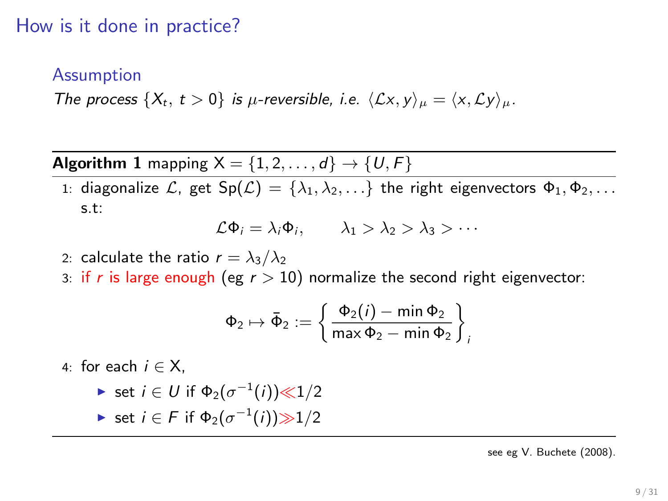## How is it done in practice?

#### **Assumption**

The process  $\{X_t, t > 0\}$  is  $\mu$ -reversible, i.e.  $\langle Lx, y \rangle_\mu = \langle x, \mathcal{L}y \rangle_\mu$ .

Algorithm 1 mapping  $X = \{1, 2, \ldots, d\} \rightarrow \{U, F\}$ 

1: diagonalize  $\mathcal{L}$ , get  $Sp(\mathcal{L}) = {\lambda_1, \lambda_2, \ldots}$  the right eigenvectors  $\Phi_1, \Phi_2, \ldots$ s.t:

$$
\mathcal{L}\Phi_i = \lambda_i \Phi_i, \qquad \lambda_1 > \lambda_2 > \lambda_3 > \cdots
$$

- 2: calculate the ratio  $r = \lambda_3/\lambda_2$
- 3: if r is large enough (eg  $r > 10$ ) normalize the second right eigenvector:

$$
\Phi_2 \mapsto \bar{\Phi}_2 := \left\{ \frac{\Phi_2(i) - \min \Phi_2}{\max \Phi_2 - \min \Phi_2} \right\}_i
$$

4: for each  $i \in X$ .

$$
\blacktriangleright \text{ set } i \in U \text{ if } \Phi_2(\sigma^{-1}(i)) \ll 1/2
$$

► set  $i \in F$  if  $\Phi_2(\sigma^{-1}(i)) \gg 1/2$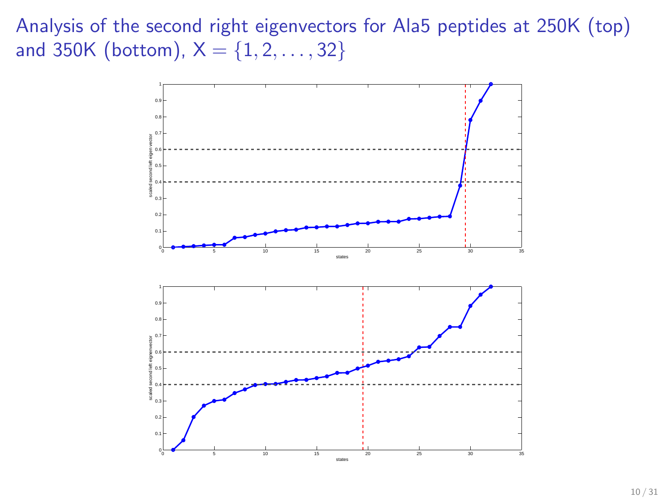Analysis of the second right eigenvectors for Ala5 peptides at 250K (top) and 350K (bottom),  $X = \{1, 2, ..., 32\}$ 

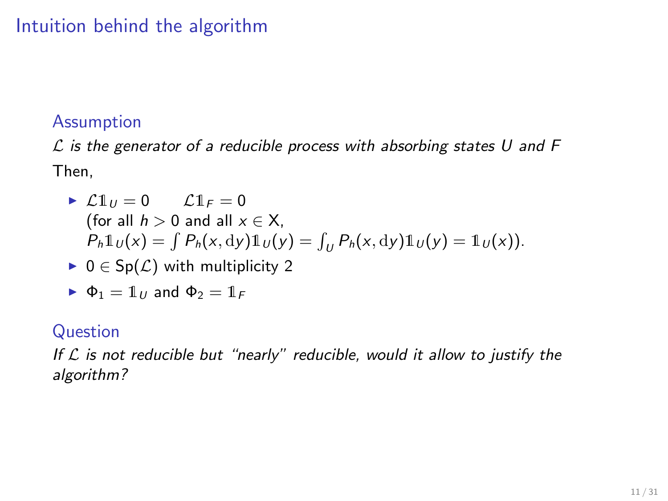## Intuition behind the algorithm

### **Assumption**

 $\mathcal L$  is the generator of a reducible process with absorbing states U and F Then,

- $\blacktriangleright$   $\mathcal{L}1_{\mathcal{U}} = 0$   $\mathcal{L}1_{\mathcal{F}} = 0$ (for all  $h > 0$  and all  $x \in X$ ,  $P_h \mathbb{1}_U(x) = \int P_h(x, dy) \mathbb{1}_U(y) = \int_U P_h(x, dy) \mathbb{1}_U(y) = \mathbb{1}_U(x)$ .
- $\blacktriangleright$  0  $\in$  Sp( $\mathcal{L}$ ) with multiplicity 2

$$
\blacktriangleright \ \Phi_1 = \mathbb{1}_U \text{ and } \Phi_2 = \mathbb{1}_F
$$

#### Question

If  $L$  is not reducible but "nearly" reducible, would it allow to justify the algorithm?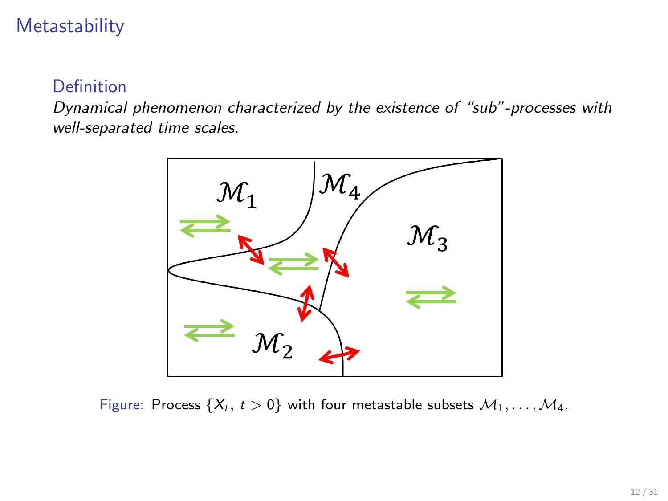# **Metastability**

## Definition

Dynamical phenomenon characterized by the existence of "sub"-processes with well-separated time scales.



Figure: Process  $\{X_t, t > 0\}$  with four metastable subsets  $M_1, \ldots, M_4$ .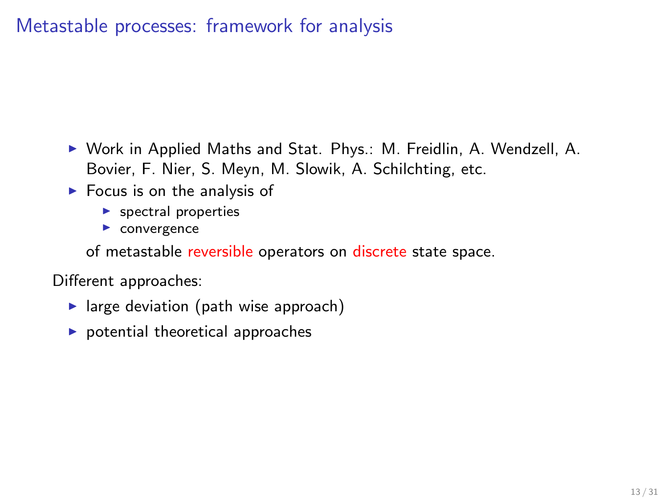## Metastable processes: framework for analysis

- ▶ Work in Applied Maths and Stat. Phys.: M. Freidlin, A. Wendzell, A. Bovier, F. Nier, S. Meyn, M. Slowik, A. Schilchting, etc.
- $\blacktriangleright$  Focus is on the analysis of
	- $\blacktriangleright$  spectral properties
	- $\blacktriangleright$  convergence

of metastable reversible operators on discrete state space.

Different approaches:

- $\blacktriangleright$  large deviation (path wise approach)
- $\blacktriangleright$  potential theoretical approaches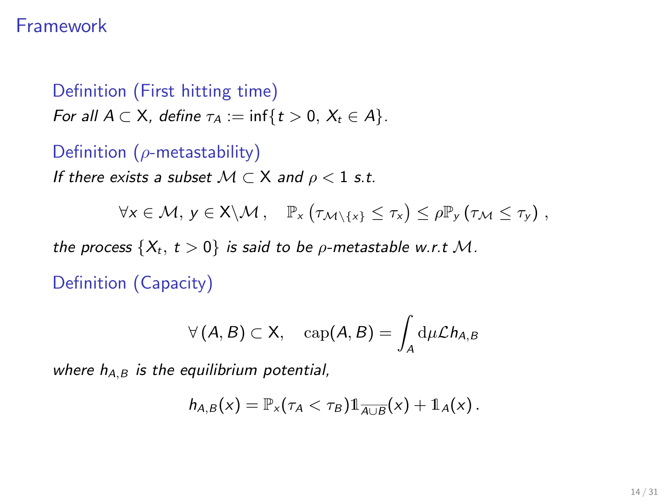## Framework

Definition (First hitting time) For all  $A \subset X$ , define  $\tau_A := \inf\{t > 0, X_t \in A\}$ .

Definition ( $\rho$ -metastability)

If there exists a subset  $M \subset X$  and  $\rho < 1$  s.t.

 $\forall x \in \mathcal{M}, y \in X \setminus \mathcal{M}, \quad \mathbb{P}_x \left( \tau_{\mathcal{M} \setminus \{x\}} \leq \tau_x \right) \leq \rho \mathbb{P}_y \left( \tau_{\mathcal{M}} \leq \tau_y \right),$ 

the process  $\{X_t, t > 0\}$  is said to be  $\rho$ -metastable w.r.t M.

Definition (Capacity)

$$
\forall (A, B) \subset X, \quad \text{cap}(A, B) = \int_A \mathrm{d}\mu \mathcal{L} h_{A, B}
$$

where  $h_{A,B}$  is the equilibrium potential,

$$
h_{A,B}(x) = \mathbb{P}_x(\tau_A < \tau_B) 1\!\!1_{\overline{A\cup B}}(x) + 1\!\!1_A(x).
$$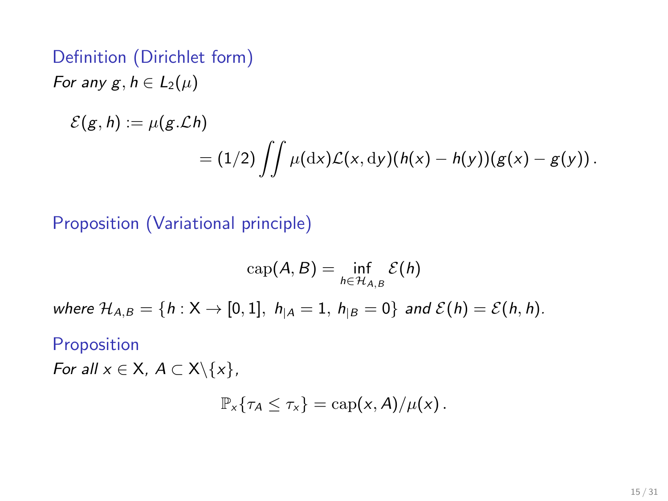Definition (Dirichlet form) For any  $g, h \in L_2(\mu)$ 

$$
\mathcal{E}(g,h) := \mu(g.\mathcal{L}h)
$$
  
= (1/2)  $\iint \mu(\mathrm{d}x)\mathcal{L}(x,\mathrm{d}y)(h(x) - h(y))(g(x) - g(y)).$ 

Proposition (Variational principle)

$$
\text{cap}(A, B) = \inf_{h \in \mathcal{H}_{A, B}} \mathcal{E}(h)
$$
  
where  $\mathcal{H}_{A, B} = \{h : X \to [0, 1], h_{|A} = 1, h_{|B} = 0\}$  and  $\mathcal{E}(h) = \mathcal{E}(h, h)$ .

### Proposition

For all  $x \in X$ ,  $A \subset X \setminus \{x\}$ ,

$$
\mathbb{P}_x\{\tau_A\leq \tau_x\}=\operatorname{cap}(x,A)/\mu(x).
$$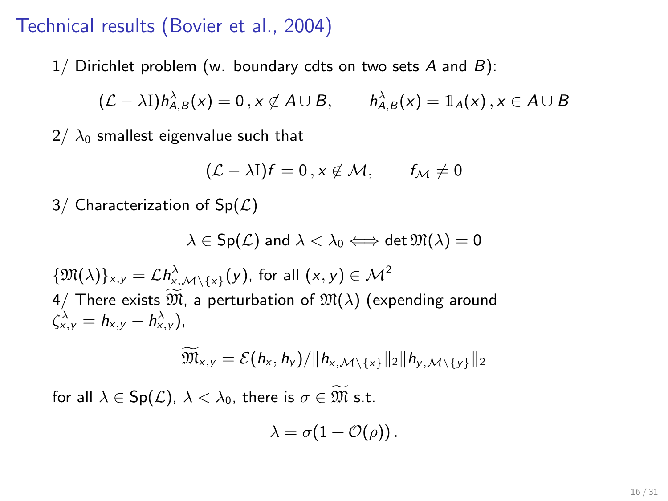### Technical results (Bovier et al., 2004)

 $1/$  Dirichlet problem (w. boundary cdts on two sets A and B):

$$
(\mathcal{L} - \lambda I) h_{A,B}^{\lambda}(x) = 0, x \notin A \cup B, \qquad h_{A,B}^{\lambda}(x) = 1_A(x), x \in A \cup B
$$

 $2/\lambda_0$  smallest eigenvalue such that

$$
(\mathcal{L} - \lambda I)f = 0, x \notin \mathcal{M}, \qquad f_{\mathcal{M}} \neq 0
$$

3/ Characterization of  $Sp(\mathcal{L})$ 

$$
\lambda \in \mathsf{Sp}(\mathcal{L}) \text{ and } \lambda < \lambda_0 \Longleftrightarrow \det \mathfrak{M}(\lambda) = 0
$$

 $\{\mathfrak{M}(\lambda)\}_{\times,\mathrm{y}}=\mathcal{L}h_{\mathrm{x},\mathcal{M}\backslash\{ \mathrm{x}\}}^{\lambda}(\mathrm{y}),$  for all  $(\mathrm{x},\mathrm{y})\in\mathcal{M}^2$ 4/ There exists  $\mathfrak{M}$ , a perturbation of  $\mathfrak{M}(\lambda)$  (expending around  $\zeta_{x,y}^{\lambda} = h_{x,y} - h_{x,y}^{\lambda}$ ),

$$
\widetilde{\mathfrak{M}}_{x,y}=\mathcal{E}(h_x,h_y)/\|h_{x,\mathcal{M}\setminus\{x\}}\|_2\|h_{y,\mathcal{M}\setminus\{y\}}\|_2
$$

for all  $\lambda \in \mathsf{Sp}(\mathcal{L})$ ,  $\lambda < \lambda_0$ , there is  $\sigma \in \widetilde{\mathfrak{M}}$  s.t.

$$
\lambda = \sigma(1 + \mathcal{O}(\rho)).
$$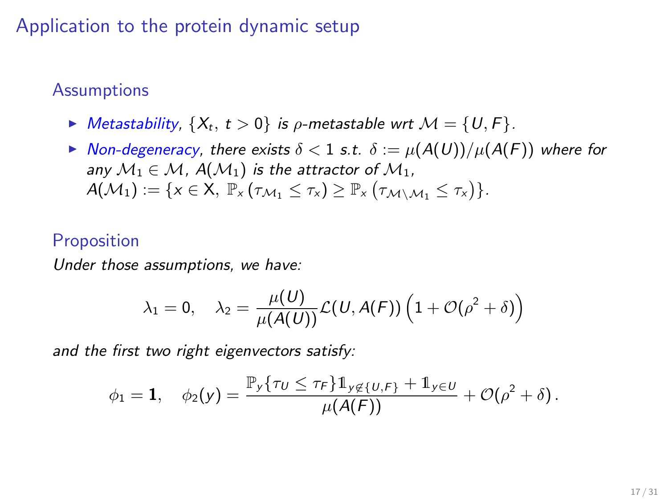## Application to the protein dynamic setup

### **Assumptions**

- $\triangleright$  Metastability,  $\{X_t, t > 0\}$  is  $\rho$ -metastable wrt  $\mathcal{M} = \{U, F\}$ .
- $\triangleright$  Non-degeneracy, there exists  $\delta < 1$  s.t.  $\delta := \mu(A(U))/\mu(A(F))$  where for any  $M_1 \in \mathcal{M}$ ,  $A(\mathcal{M}_1)$  is the attractor of  $\mathcal{M}_1$ ,  $A(\mathcal{M}_1) := \{x \in \mathsf{X}, \ \mathbb{P}_x(\tau_{\mathcal{M}_1} \leq \tau_x) \geq \mathbb{P}_x(\tau_{\mathcal{M}\setminus\mathcal{M}_1} \leq \tau_x)\}.$

### **Proposition**

Under those assumptions, we have:

$$
\lambda_1 = 0, \quad \lambda_2 = \frac{\mu(U)}{\mu(A(U))} \mathcal{L}(U, A(F)) \left( 1 + \mathcal{O}(\rho^2 + \delta) \right)
$$

and the first two right eigenvectors satisfy:

$$
\phi_1=\mathbf{1},\quad \phi_2(y)=\frac{\mathbb{P}_y\{\tau_U\leq \tau_F\}\mathbb{1}_{y\not\in\{U,F\}}+\mathbb{1}_{y\in U}}{\mu(A(F))}+\mathcal{O}(\rho^2+\delta)\,.
$$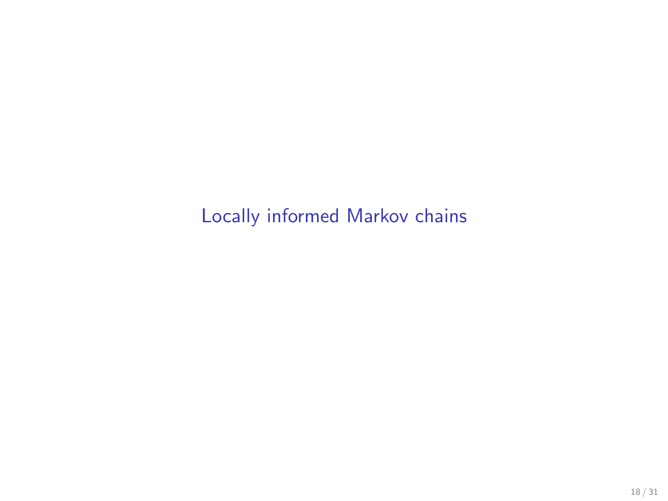<span id="page-17-0"></span>[Locally informed Markov chains](#page-17-0)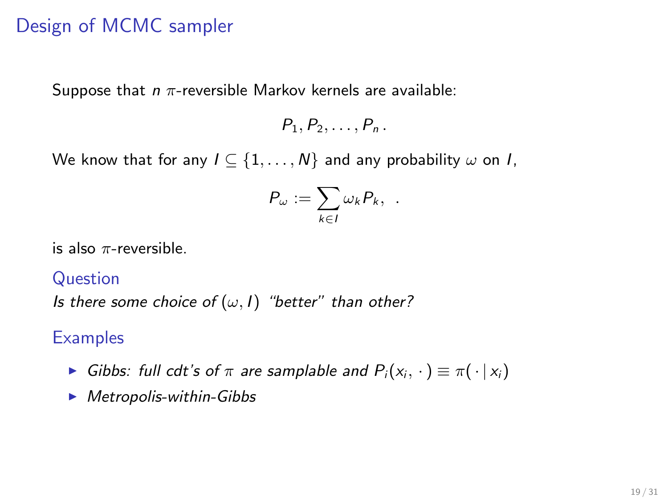## Design of MCMC sampler

Suppose that  $n \pi$ -reversible Markov kernels are available:

 $P_1, P_2, \ldots, P_n$ .

We know that for any  $I \subseteq \{1, \ldots, N\}$  and any probability  $\omega$  on *I*,

$$
P_{\omega} := \sum_{k \in I} \omega_k P_k, \quad
$$

is also  $\pi$ -reversible.

#### **Question**

Is there some choice of  $(\omega, I)$  "better" than other?

### **Examples**

- $\triangleright$  Gibbs: full cdt's of π are samplable and  $P_i(x_i, \cdot) \equiv \pi(\cdot | x_i)$
- $\blacktriangleright$  Metropolis-within-Gibbs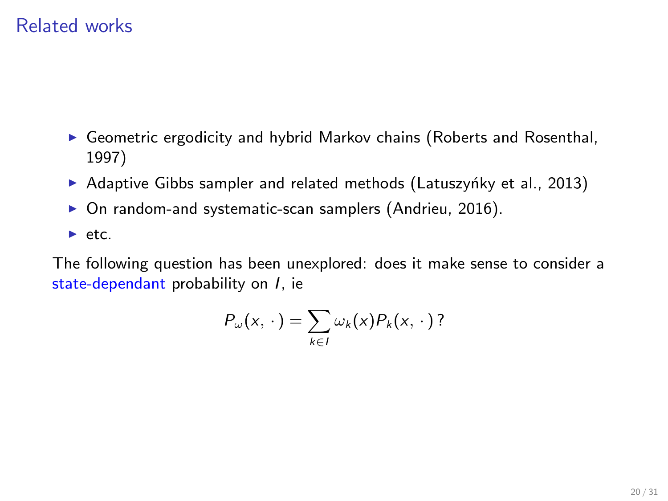## Related works

- $\triangleright$  Geometric ergodicity and hybrid Markov chains (Roberts and Rosenthal, 1997)
- $\blacktriangleright$  Adaptive Gibbs sampler and related methods (Latuszynky et al., 2013)
- $\triangleright$  On random-and systematic-scan samplers (Andrieu, 2016).
- $\blacktriangleright$  etc.

The following question has been unexplored: does it make sense to consider a state-dependant probability on *I*, ie

$$
P_{\omega}(x,\,\cdot\,)=\sum_{k\in I}\omega_k(x)P_k(x,\,\cdot\,):
$$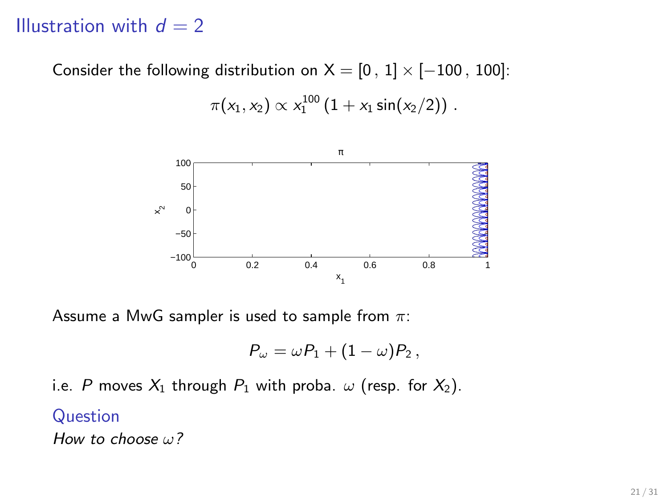## Illustration with  $d = 2$

Consider the following distribution on  $X = [0, 1] \times [-100, 100]$ :

$$
\pi(x_1,x_2) \propto x_1^{100} (1 + x_1 \sin(x_2/2)) \ .
$$



Assume a MwG sampler is used to sample from  $\pi$ :

$$
P_{\omega}=\omega P_1+(1-\omega)P_2\,,
$$

i.e. P moves  $X_1$  through  $P_1$  with proba.  $\omega$  (resp. for  $X_2$ ).

### Question

How to choose  $\omega$ ?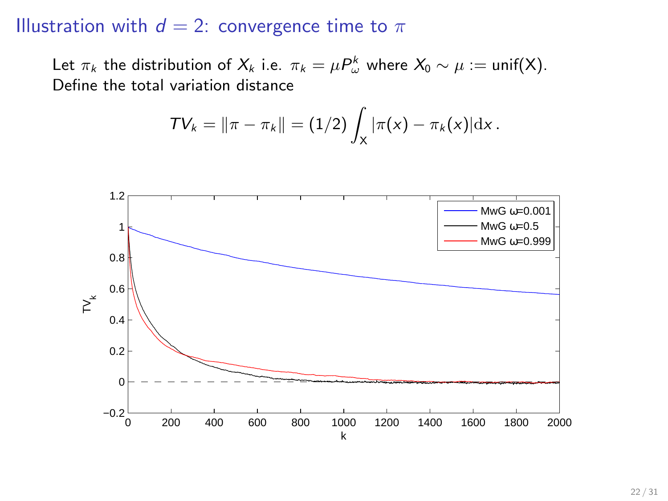## Illustration with  $d = 2$ : convergence time to  $\pi$

Let  $\pi_k$  the distribution of  $X_k$  i.e.  $\pi_k = \mu P^k_{\omega}$  where  $X_0 \sim \mu := \text{unif}(X)$ . Define the total variation distance

$$
TV_k = ||\pi - \pi_k|| = (1/2) \int_X |\pi(x) - \pi_k(x)| dx.
$$

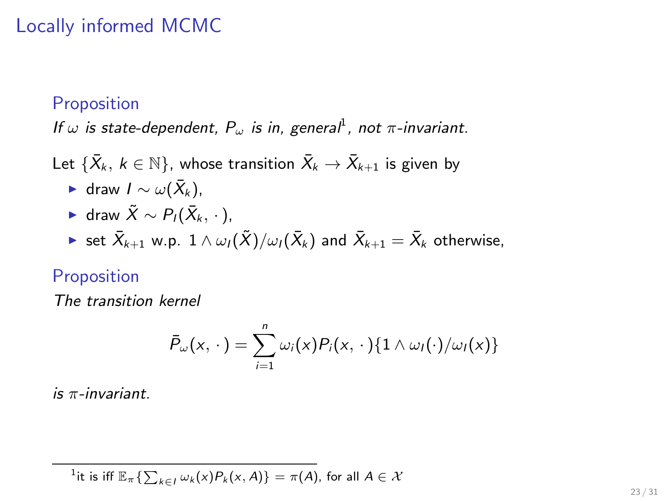## Locally informed MCMC

#### Proposition

If  $\omega$  is state-dependent,  $P_{\omega}$  is in, general<sup>1</sup>, not  $\pi$ -invariant.

Let  $\{\bar{X}_k, k \in \mathbb{N}\}\)$ , whose transition  $\bar{X}_k \to \bar{X}_{k+1}$  is given by

- ► draw  $I \sim \omega(\bar{X}_k)$ ,
- ► draw  $\tilde{X} \sim P_I(\bar{X}_k, \cdot)$ ,
- ► set  $\bar{X}_{k+1}$  w.p.  $1 \wedge \omega_l(\tilde{X})/\omega_l(\bar{X}_k)$  and  $\bar{X}_{k+1} = \bar{X}_k$  otherwise,

#### Proposition

The transition kernel

$$
\bar{P}_{\omega}(x,\,\cdot\,)=\sum_{i=1}^n\omega_i(x)P_i(x,\,\cdot\,)\{1\wedge\omega_l(\cdot)/\omega_l(x)\}
$$

is  $\pi$ -invariant.

 $^{1}$ it is iff  $\mathbb{E}_{\pi}\{\sum_{k\in I}\omega_{k}(x)P_{k}(x,A)\}=\pi(A)$ , for all  $A\in\mathcal{X}$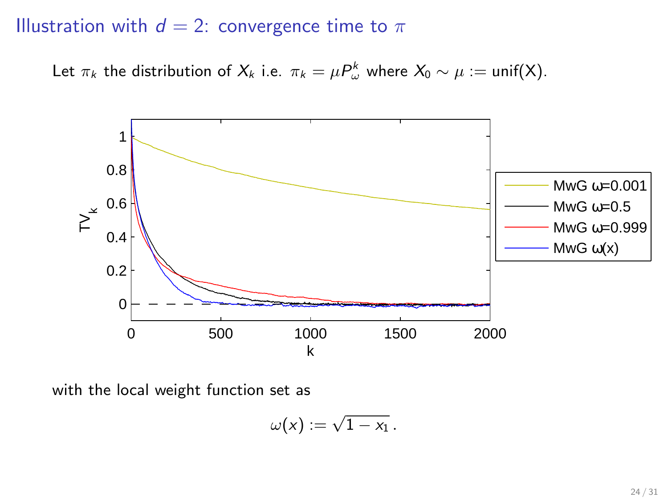### Illustration with  $d = 2$ : convergence time to  $\pi$

Let  $\pi_k$  the distribution of  $X_k$  i.e.  $\pi_k = \mu P^k_{\omega}$  where  $X_0 \sim \mu := \text{unif}(X)$ .



with the local weight function set as

$$
\omega(x):=\sqrt{1-x_1}\,.
$$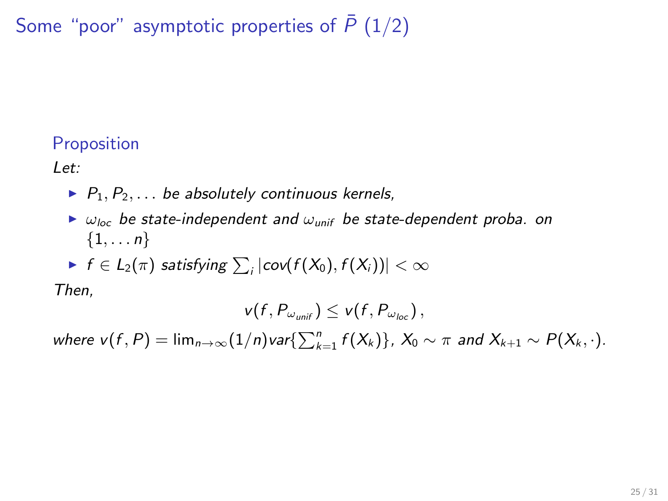# Some "poor" asymptotic properties of  $\bar{P}$  (1/2)

### **Proposition**

 $Let$ 

- $\blacktriangleright$   $P_1, P_2, \ldots$  be absolutely continuous kernels,
- $\triangleright$   $\omega_{loc}$  be state-independent and  $\omega_{unit}$  be state-dependent proba. on  $\{1,\ldots n\}$
- $\blacktriangleright$   $f \in L_2(\pi)$  satisfying  $\sum_i |\text{cov}(f(X_0), f(X_i))| < \infty$

Then,

$$
v(f, P_{\omega_{\text{unif}}}) \leq v(f, P_{\omega_{\text{loc}}}),
$$

where  $v(f, P) = \lim_{n \to \infty} (1/n) \text{var} \{ \sum_{k=1}^{n} f(X_k) \}$ ,  $X_0 \sim \pi$  and  $X_{k+1} \sim P(X_k, \cdot)$ .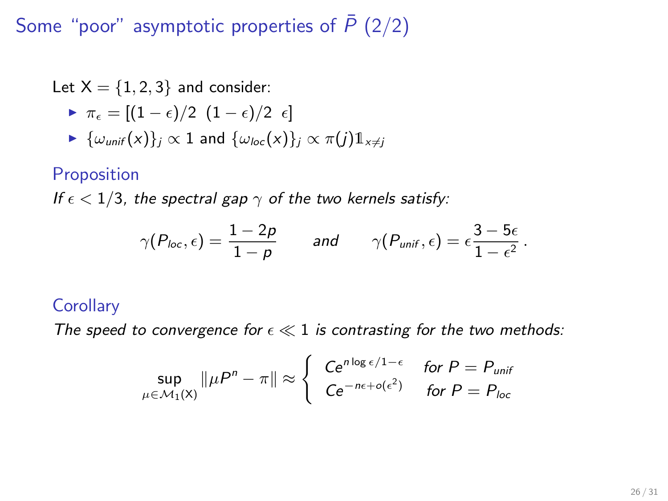# Some "poor" asymptotic properties of  $\bar{P}$  (2/2)

Let  $X = \{1, 2, 3\}$  and consider:

$$
\blacktriangleright \ \pi_{\epsilon}=[(1-\epsilon)/2\ \ (1-\epsilon)/2\ \ \epsilon]
$$

 $\blacktriangleright \{\omega_{unit}(x)\}\)$   $\propto$  1 and  $\{\omega_{loc}(x)\}\)$   $\propto \pi(j)\mathbb{1}_{x\neq j}$ 

#### Proposition

If  $\epsilon < 1/3$ , the spectral gap  $\gamma$  of the two kernels satisfy:

$$
\gamma(P_{\text{loc}},\epsilon) = \frac{1-2p}{1-p} \qquad \text{and} \qquad \gamma(P_{\text{unif}},\epsilon) = \epsilon \frac{3-5\epsilon}{1-\epsilon^2} \,.
$$

### **Corollary**

The speed to convergence for  $\epsilon \ll 1$  is contrasting for the two methods:

$$
\sup_{\mu \in \mathcal{M}_1(X)} \|\mu P^n - \pi\| \approx \begin{cases} C e^{n \log \epsilon/1 - \epsilon} & \text{for } P = P_{\text{unif}} \\ C e^{-n\epsilon + o(\epsilon^2)} & \text{for } P = P_{\text{loc}} \end{cases}
$$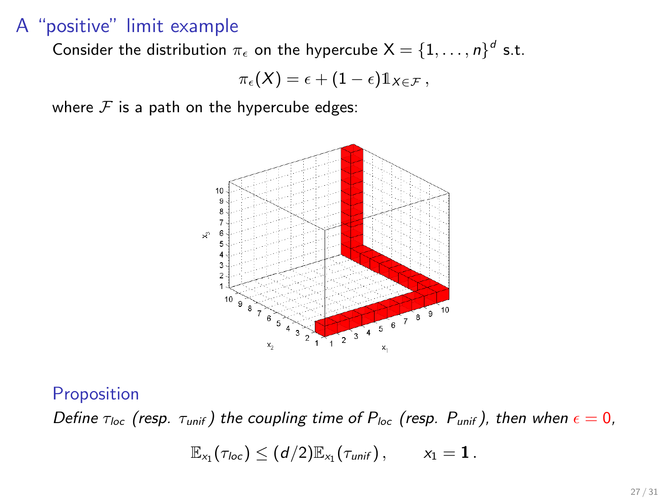### A "positive" limit example

Consider the distribution  $\pi_{\epsilon}$  on the hypercube  $\mathsf{X} = \{1, \ldots, n\}^d$  s.t.

$$
\pi_{\epsilon}(X) = \epsilon + (1 - \epsilon) \mathbb{1}_{X \in \mathcal{F}},
$$

where  $\mathcal F$  is a path on the hypercube edges:



#### Proposition

Define  $\tau_{loc}$  (resp.  $\tau_{unit}$ ) the coupling time of  $P_{loc}$  (resp.  $P_{unit}$ ), then when  $\epsilon = 0$ ,

 $\mathbb{E}_{\mathsf{x}_1}(\tau_{\mathsf{loc}}) \leq (d/2) \mathbb{E}_{\mathsf{x}_1}(\tau_{\mathsf{unif}})\,, \qquad \mathsf{x}_1 = \mathbf{1}\,.$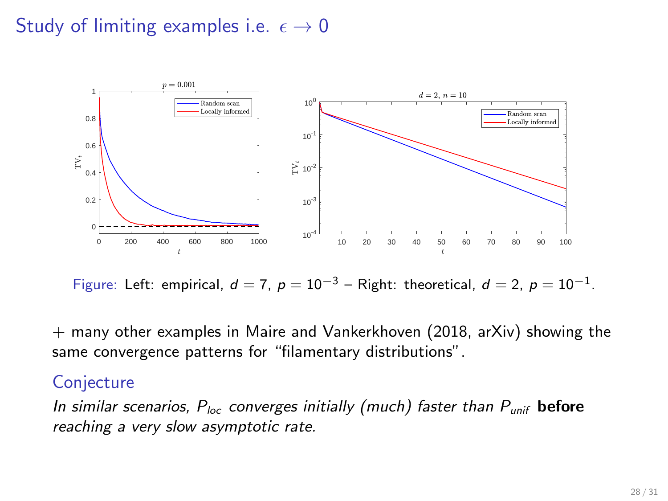## Study of limiting examples i.e.  $\epsilon \rightarrow 0$



Figure: Left: empirical,  $d = 7$ ,  $p = 10^{-3}$  – Right: theoretical,  $d = 2$ ,  $p = 10^{-1}$ .

 $+$  many other examples in Maire and Vankerkhoven (2018, arXiv) showing the same convergence patterns for "filamentary distributions".

#### **Conjecture**

In similar scenarios,  $P_{loc}$  converges initially (much) faster than  $P_{unit}$  before reaching a very slow asymptotic rate.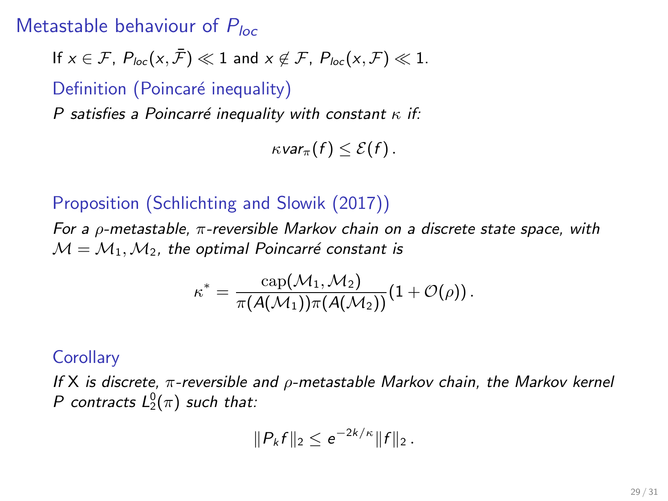## Metastable behaviour of  $P_{loc}$

If  $x \in \mathcal{F}$ ,  $P_{loc}(x, \bar{\mathcal{F}}) \ll 1$  and  $x \notin \mathcal{F}$ ,  $P_{loc}(x, \mathcal{F}) \ll 1$ .

Definition (Poincaré inequality)

P satisfies a Poincarré inequality with constant  $\kappa$  if:

 $\kappa \text{var}_{\pi}(f) \leq \mathcal{E}(f)$ .

#### Proposition (Schlichting and Slowik (2017))

For a  $ρ$ -metastable,  $π$ -reversible Markov chain on a discrete state space, with  $M = M_1, M_2$ , the optimal Poincarré constant is

$$
\kappa^* = \frac{\textnormal{cap}(\mathcal{M}_1,\mathcal{M}_2)}{\pi(A(\mathcal{M}_1))\pi(A(\mathcal{M}_2))}(1+\mathcal{O}(\rho))\,.
$$

#### **Corollary**

If X is discrete,  $\pi$ -reversible and  $\rho$ -metastable Markov chain, the Markov kernel P contracts  $L_2^0(\pi)$  such that:

$$
||P_k f||_2 \leq e^{-2k/\kappa} ||f||_2.
$$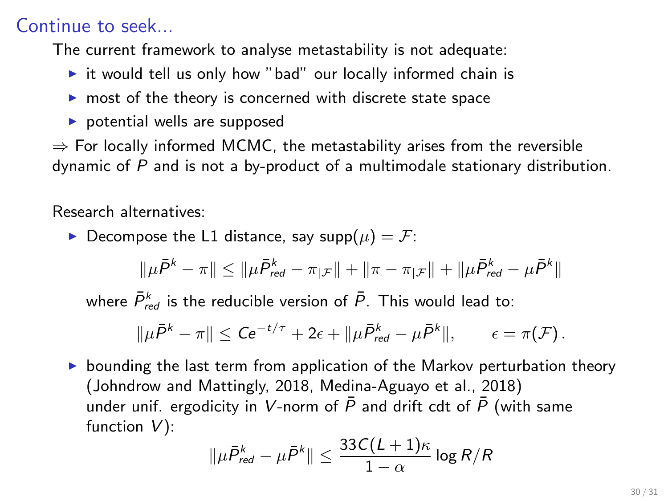### Continue to seek.

The current framework to analyse metastability is not adequate:

- $\triangleright$  it would tell us only how "bad" our locally informed chain is
- $\blacktriangleright$  most of the theory is concerned with discrete state space
- $\triangleright$  potential wells are supposed

 $\Rightarrow$  For locally informed MCMC, the metastability arises from the reversible dynamic of P and is not a by-product of a multimodale stationary distribution.

Research alternatives:

 $\triangleright$  Decompose the L1 distance, say supp $(\mu) = \mathcal{F}$ :

$$
\|\mu \bar{P}^k - \pi\| \leq \|\mu \bar{P}^k_{red} - \pi_{|\mathcal{F}}\| + \|\pi - \pi_{|\mathcal{F}}\| + \|\mu \bar{P}^k_{red} - \mu \bar{P}^k\|
$$

where  $\bar{P}^k_{red}$  is the reducible version of  $\bar{P}$ . This would lead to:

$$
\|\mu \bar{P}^k - \pi\| \leq C e^{-t/\tau} + 2\epsilon + \|\mu \bar{P}^k_{red} - \mu \bar{P}^k\|, \qquad \epsilon = \pi(\mathcal{F}).
$$

 $\triangleright$  bounding the last term from application of the Markov perturbation theory (Johndrow and Mattingly, 2018, Medina-Aguayo et al., 2018) under unif. ergodicity in V-norm of  $\bar{P}$  and drift cdt of  $\bar{P}$  (with same function  $V$ ):

$$
\|\mu \bar{P}_{\mathit{red}}^k - \mu \bar{P}^k\| \leq \frac{33C(L+1)\kappa}{1-\alpha}\log R/R
$$